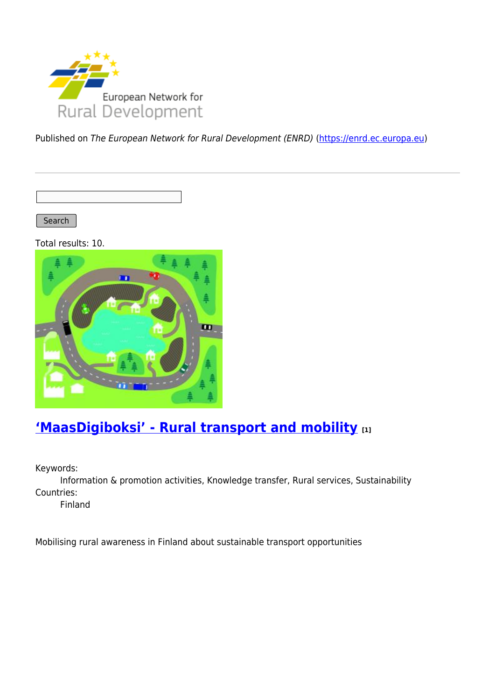

Published on The European Network for Rural Development (ENRD) [\(https://enrd.ec.europa.eu](https://enrd.ec.europa.eu))

Search |

Total results: 10.



## **['MaasDigiboksi' - Rural transport and mobility](https://enrd.ec.europa.eu/projects-practice/maasdigiboksi-rural-transport-and-mobility_en) [1]**

Keywords:

Information & promotion activities, Knowledge transfer, Rural services, Sustainability Countries:

Finland

Mobilising rural awareness in Finland about sustainable transport opportunities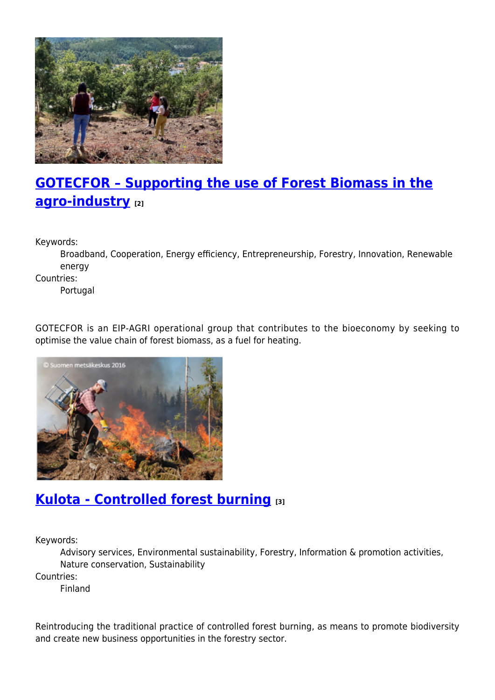

# **[GOTECFOR – Supporting the use of Forest Biomass in the](https://enrd.ec.europa.eu/projects-practice/gotecfor-supporting-use-forest-biomass-agro-industry_en) [agro-industry](https://enrd.ec.europa.eu/projects-practice/gotecfor-supporting-use-forest-biomass-agro-industry_en) [2]**

Keywords:

Broadband, Cooperation, Energy efficiency, Entrepreneurship, Forestry, Innovation, Renewable energy

Countries:

Portugal

GOTECFOR is an EIP-AGRI operational group that contributes to the bioeconomy by seeking to optimise the value chain of forest biomass, as a fuel for heating.



#### **[Kulota - Controlled forest burning](https://enrd.ec.europa.eu/projects-practice/kulota-controlled-forest-burning_en) [3]**

Keywords:

Advisory services, Environmental sustainability, Forestry, Information & promotion activities, Nature conservation, Sustainability

Countries:

Finland

Reintroducing the traditional practice of controlled forest burning, as means to promote biodiversity and create new business opportunities in the forestry sector.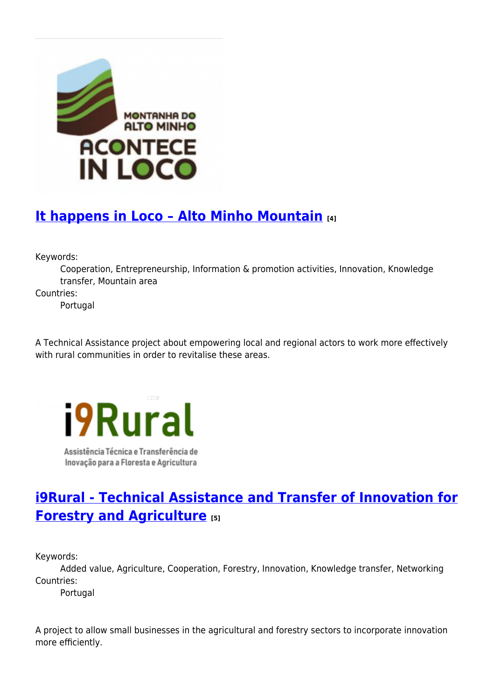

## **[It happens in Loco – Alto Minho Mountain](https://enrd.ec.europa.eu/projects-practice/it-happens-loco-alto-minho-mountain_en) [4]**

Keywords:

Cooperation, Entrepreneurship, Information & promotion activities, Innovation, Knowledge transfer, Mountain area

Countries:

Portugal

A Technical Assistance project about empowering local and regional actors to work more effectively with rural communities in order to revitalise these areas.



Assistência Técnica e Transferência de Inovação para a Floresta e Agricultura

### **[i9Rural - Technical Assistance and Transfer of Innovation for](https://enrd.ec.europa.eu/projects-practice/i9rural-technical-assistance-and-transfer-innovation-forestry-and-agriculture_en) [Forestry and Agriculture](https://enrd.ec.europa.eu/projects-practice/i9rural-technical-assistance-and-transfer-innovation-forestry-and-agriculture_en) [5]**

Keywords:

Added value, Agriculture, Cooperation, Forestry, Innovation, Knowledge transfer, Networking Countries:

Portugal

A project to allow small businesses in the agricultural and forestry sectors to incorporate innovation more efficiently.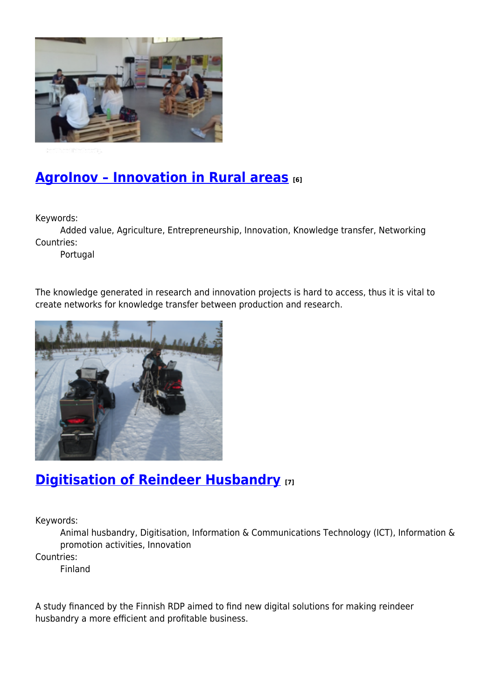

### **[AgroInov – Innovation in Rural areas](https://enrd.ec.europa.eu/projects-practice/agroinov-innovation-rural-areas_en) [6]**

Keywords:

Added value, Agriculture, Entrepreneurship, Innovation, Knowledge transfer, Networking Countries:

Portugal

The knowledge generated in research and innovation projects is hard to access, thus it is vital to create networks for knowledge transfer between production and research.



### **[Digitisation of Reindeer Husbandry](https://enrd.ec.europa.eu/projects-practice/digitalisation-reindeer-husbandry_en) [7]**

Keywords:

Animal husbandry, Digitisation, Information & Communications Technology (ICT), Information & promotion activities, Innovation

Countries:

Finland

A study financed by the Finnish RDP aimed to find new digital solutions for making reindeer husbandry a more efficient and profitable business.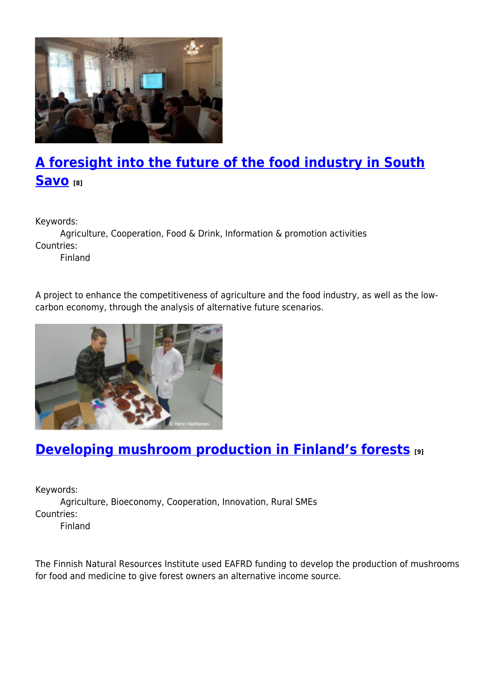

# **[A foresight into the future of the food industry in South](https://enrd.ec.europa.eu/projects-practice/foresight-future-food-industry-south-savo_en) [Savo](https://enrd.ec.europa.eu/projects-practice/foresight-future-food-industry-south-savo_en) [8]**

Keywords:

Agriculture, Cooperation, Food & Drink, Information & promotion activities Countries:

Finland

A project to enhance the competitiveness of agriculture and the food industry, as well as the lowcarbon economy, through the analysis of alternative future scenarios.



## **[Developing mushroom production in Finland's forests](https://enrd.ec.europa.eu/projects-practice/developing-mushroom-production-finlands-forests_en) [9]**

Keywords: Agriculture, Bioeconomy, Cooperation, Innovation, Rural SMEs Countries: Finland

The Finnish Natural Resources Institute used EAFRD funding to develop the production of mushrooms for food and medicine to give forest owners an alternative income source.